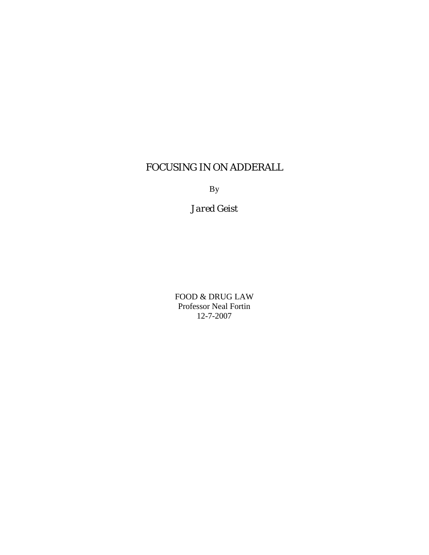# FOCUSING IN ON ADDERALL

By

*Jared Geist*

FOOD & DRUG LAW Professor Neal Fortin 12-7-2007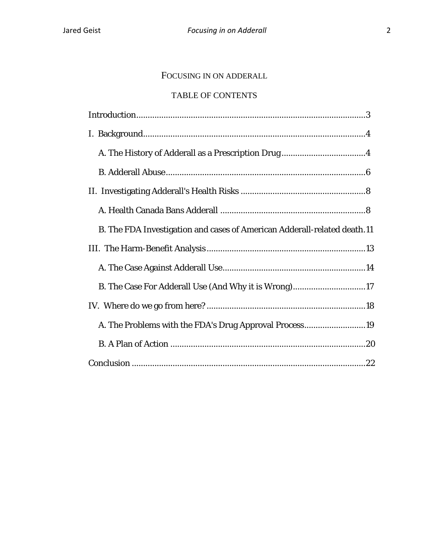# FOCUSING IN ON ADDERALL

## TABLE OF CONTENTS

| B. The FDA Investigation and cases of American Adderall-related death.11 |
|--------------------------------------------------------------------------|
|                                                                          |
|                                                                          |
| B. The Case For Adderall Use (And Why it is Wrong)17                     |
|                                                                          |
| A. The Problems with the FDA's Drug Approval Process19                   |
|                                                                          |
|                                                                          |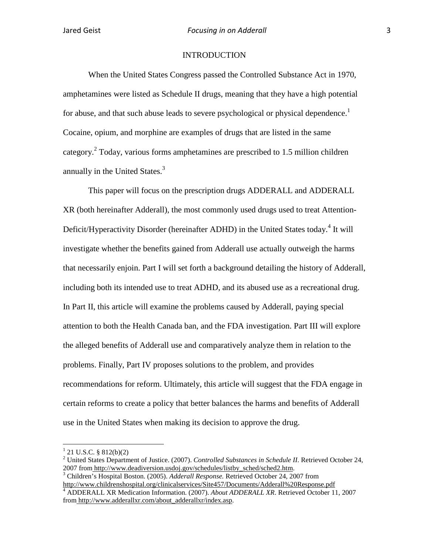#### **INTRODUCTION**

When the United States Congress passed the Controlled Substance Act in 1970, amphetamines were listed as Schedule II drugs, meaning that they have a high potential for abuse, and that such abuse leads to severe psychological or physical dependence.<sup>1</sup> Cocaine, opium, and morphine are examples of drugs that are listed in the same category.<sup>2</sup> Today, various forms amphetamines are prescribed to 1.5 million children annually in the United States.<sup>3</sup>

This paper will focus on the prescription drugs ADDERALL and ADDERALL XR (both hereinafter Adderall), the most commonly used drugs used to treat Attention-Deficit/Hyperactivity Disorder (hereinafter ADHD) in the United States today.<sup>4</sup> It will investigate whether the benefits gained from Adderall use actually outweigh the harms that necessarily enjoin. Part I will set forth a background detailing the history of Adderall, including both its intended use to treat ADHD, and its abused use as a recreational drug. In Part II, this article will examine the problems caused by Adderall, paying special attention to both the Health Canada ban, and the FDA investigation. Part III will explore the alleged benefits of Adderall use and comparatively analyze them in relation to the problems. Finally, Part IV proposes solutions to the problem, and provides recommendations for reform. Ultimately, this article will suggest that the FDA engage in certain reforms to create a policy that better balances the harms and benefits of Adderall use in the United States when making its decision to approve the drug.

<sup>&</sup>lt;sup>1</sup> [21 U.S.C.](http://en.wikipedia.org/wiki/Title_21_of_the_United_States_Code) § [812\(](http://www.law.cornell.edu/uscode/21/812.html)b)(2)<br><sup>2</sup> United States Department of Justice. (2007). *Controlled Substances in Schedule II*. Retrieved October 24,<br>2007 from http://www.deadiversion.usdoj.gov/schedules/listby sched/sched2.htm.

<sup>&</sup>lt;sup>3</sup> Children's Hospital Boston. (2005). *Adderall Response*. Retrieved October 24, 2007 from http://www.childrenshospital.org/clinicalservices/Site457/Documents/Adderall%20Response.pdf

<sup>4</sup> ADDERALL XR Medication Information. (2007). *About ADDERALL XR*. Retrieved October 11, 2007 from http://www.adderallxr.com/about\_adderallxr/index.asp.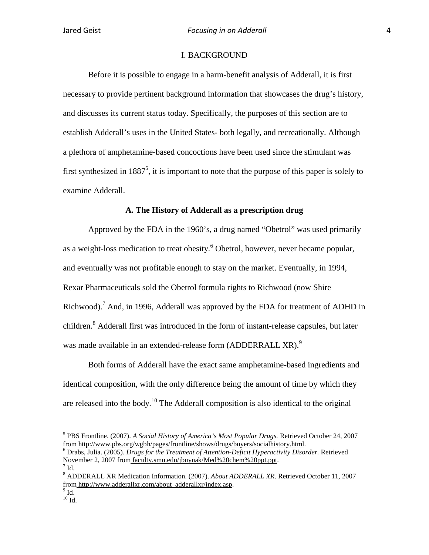#### I. BACKGROUND

Before it is possible to engage in a harm-benefit analysis of Adderall, it is first necessary to provide pertinent background information that showcases the drug's history, and discusses its current status today. Specifically, the purposes of this section are to establish Adderall's uses in the United States- both legally, and recreationally. Although a plethora of amphetamine-based concoctions have been used since the stimulant was first synthesized in  $1887^5$ , it is important to note that the purpose of this paper is solely to examine Adderall.

#### **A. The History of Adderall as a prescription drug**

Approved by the FDA in the 1960's, a drug named "Obetrol" was used primarily as a weight-loss medication to treat obesity.<sup>6</sup> Obetrol, however, never became popular, and eventually was not profitable enough to stay on the market. Eventually, in 1994, Rexar Pharmaceuticals sold the Obetrol formula rights to Richwood (now Shire Richwood).<sup>7</sup> And, in 1996, Adderall was approved by the FDA for treatment of ADHD in children.<sup>8</sup> Adderall first was introduced in the form of instant-release capsules, but later was made available in an extended-release form (ADDERRALL XR).<sup>9</sup>

Both forms of Adderall have the exact same amphetamine-based ingredients and identical composition, with the only difference being the amount of time by which they are released into the body.<sup>10</sup> The Adderall composition is also identical to the original

<sup>&</sup>lt;sup>5</sup> PBS Frontline. (2007). *A Social History of America's Most Popular Drugs*. Retrieved October 24, 2007 from http://www.pbs.org/wgbh/pages/frontline/shows/drugs/buyers/socialhistory.html.

<sup>&</sup>lt;sup>6</sup> Drabs, Julia. (2005). *Drugs for the Treatment of Attention-Deficit Hyperactivity Disorder.* Retrieved November 2, 2007 from faculty.smu.edu/jbuynak/Med%20chem%20ppt.ppt.<br><sup>7</sup> Id.

<sup>8</sup> ADDERALL XR Medication Information. (2007). *About ADDERALL XR*. Retrieved October 11, 2007 from http://www.adderallxr.com/about\_adderallxr/index.asp. <sup>9</sup> Id.

 $^{10}$  Id.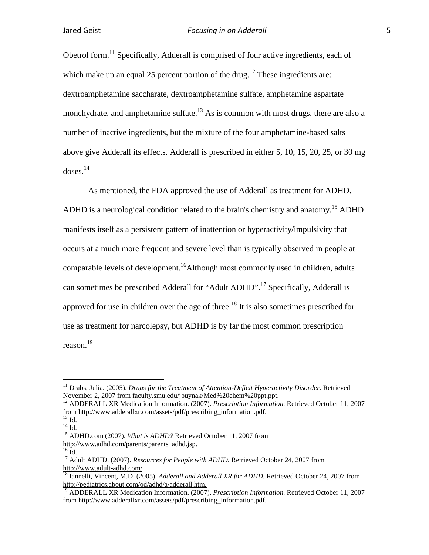Obetrol form.<sup>11</sup> Specifically, Adderall is comprised of four active ingredients, each of which make up an equal 25 percent portion of the drug.<sup>12</sup> These ingredients are: dextroamphetamine [saccharate,](http://en.wikipedia.org/wiki/Saccharic_acid) dextroamphetamine [sulfate,](http://en.wikipedia.org/wiki/Sulfate) amphetamine aspartate monchydrate, and amphetamine sulfate.<sup>13</sup> As is common with most drugs, there are also a number of inactive ingredients, but the mixture of the four amphetamine-based salts above give Adderall its effects. Adderall is prescribed in either 5, 10, 15, 20, 25, or 30 mg doses.14

As mentioned, the FDA approved the use of Adderall as treatment for ADHD. ADHD is a neurological condition related to the brain's chemistry and anatomy.<sup>15</sup> ADHD manifests itself as a persistent pattern of inattention or hyperactivity/impulsivity that occurs at a much more frequent and severe level than is typically observed in people at comparable levels of development.<sup>16</sup>Although most commonly used in children, adults can sometimes be prescribed Adderall for "Adult ADHD".<sup>17</sup> Specifically, Adderall is approved for use in children over the age of three.<sup>18</sup> It is also sometimes prescribed for use as treatment for narcolepsy, but ADHD is by far the most common prescription reason.<sup>19</sup>

<sup>&</sup>lt;sup>11</sup> Drabs, Julia. (2005). *Drugs for the Treatment of Attention-Deficit Hyperactivity Disorder.* Retrieved November 2, 2007 from faculty.smu.edu/jbuynak/Med%20chem%20ppt.ppt.

<sup>&</sup>lt;sup>12</sup> ADDERALL XR Medication Information. (2007). *Prescription Information*. Retrieved October 11, 2007 from http://www.adderallxr.com/assets/pdf/prescribing\_information.pdf.

<sup>&</sup>lt;sup>13</sup> Id.<br><sup>14</sup> Id.<br><sup>15</sup> ADHD.com (2007). *What is ADHD?* Retrieved October 11, 2007 from<br>http://www.adhd.com/parents/parents adhd.jsp.

<sup>&</sup>lt;sup>16</sup> Id. <sup>17</sup> Adult ADHD. (2007). *Resources for People with ADHD*. Retrieved October 24, 2007 from http://www.adult-adhd.com/.

<sup>&</sup>lt;sup>18</sup> Iannelli, Vincent, M.D. (2005). *Adderall and Adderall XR for ADHD*. Retrieved October 24, 2007 from http://pediatrics.about.com/od/adhd/a/adderall.htm.

<sup>19</sup> ADDERALL XR Medication Information. (2007). *Prescription Information.* Retrieved October 11, 2007 from http://www.adderallxr.com/assets/pdf/prescribing\_information.pdf.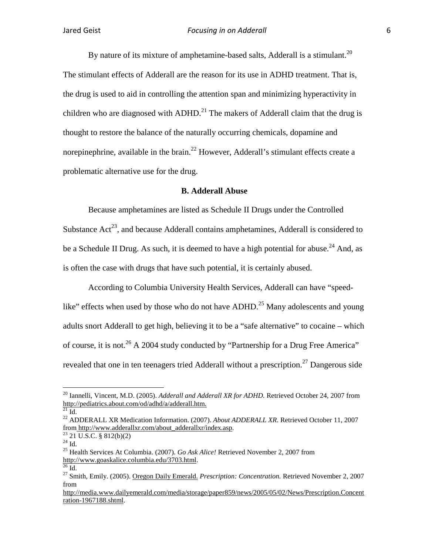By nature of its mixture of amphetamine-based salts. Adderall is a stimulant.<sup>20</sup> The stimulant effects of Adderall are the reason for its use in ADHD treatment. That is, the drug is used to aid in controlling the attention span and minimizing hyperactivity in children who are diagnosed with ADHD.<sup>21</sup> The makers of Adderall claim that the drug is thought to restore the balance of the naturally occurring chemicals, dopamine and norepinephrine, available in the brain.<sup>22</sup> However, Adderall's stimulant effects create a problematic alternative use for the drug.

#### **B. Adderall Abuse**

Because amphetamines are listed as Schedule II Drugs under the Controlled Substance  $Act^{23}$ , and because Adderall contains amphetamines, Adderall is considered to be a Schedule II Drug. As such, it is deemed to have a high potential for abuse.<sup>24</sup> And, as is often the case with drugs that have such potential, it is certainly abused.

According to Columbia University Health Services, Adderall can have "speedlike" effects when used by those who do not have ADHD.<sup>25</sup> Many adolescents and young adults snort Adderall to get high, believing it to be a "safe alternative" to cocaine – which of course, it is not.<sup>26</sup> A 2004 study conducted by "Partnership for a Drug Free America" revealed that one in ten teenagers tried Adderall without a prescription.<sup>27</sup> Dangerous side

 <sup>20</sup> Iannelli, Vincent, M.D. (2005). *Adderall and Adderall XR for ADHD.* Retrieved October 24, 2007 from http://pediatrics.about.com/od/adhd/a/adderall.htm. <sup>21</sup> Id.

<sup>&</sup>lt;sup>22</sup> ADDERALL XR Medication Information. (2007). *About ADDERALL XR*. Retrieved October 11, 2007 from http://www.adderallxr.com/about\_adderallxr/index.asp.

<sup>&</sup>lt;sup>23</sup> [21 U.S.C.](http://en.wikipedia.org/wiki/Title_21_of_the_United_States_Code) § [812\(](http://www.law.cornell.edu/uscode/21/812.html)b)(2)<br><sup>24</sup> Id. 25 Health Services At Columbia. (2007). *Go Ask Alice!* Retrieved November 2, 2007 from http://www.goaskalice.columbia.edu/3703.html.<br><sup>26</sup> Id. <sup>27</sup> Smith, Emily. (2005). <u>Oregon Daily Emerald.</u> *Prescription: Concentration*. Retrieved November 2, 2007

from

http://media.www.dailyemerald.com/media/storage/paper859/news/2005/05/02/News/Prescription.Concent ration-1967188.shtml.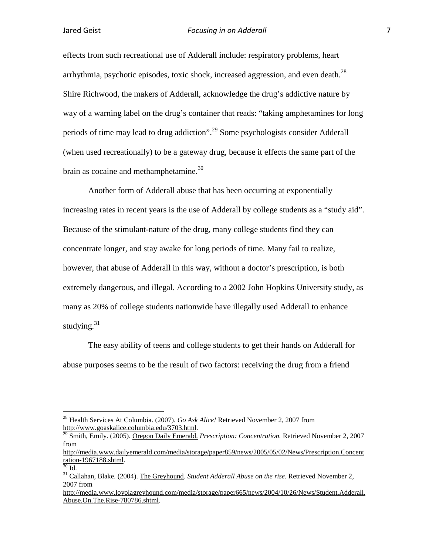effects from such recreational use of Adderall include: respiratory problems, heart arrhythmia, psychotic episodes, toxic shock, increased aggression, and even death. $^{28}$ Shire Richwood, the makers of Adderall, acknowledge the drug's addictive nature by way of a warning label on the drug's container that reads: "taking amphetamines for long periods of time may lead to drug addiction".<sup>29</sup> Some psychologists consider Adderall (when used recreationally) to be a gateway drug, because it effects the same part of the brain as cocaine and methamphetamine.<sup>30</sup>

Another form of Adderall abuse that has been occurring at exponentially increasing rates in recent years is the use of Adderall by college students as a "study aid". Because of the stimulant-nature of the drug, many college students find they can concentrate longer, and stay awake for long periods of time. Many fail to realize, however, that abuse of Adderall in this way, without a doctor's prescription, is both extremely dangerous, and illegal. According to a 2002 John Hopkins University study, as many as 20% of college students nationwide have illegally used Adderall to enhance studying. $31$ 

The easy ability of teens and college students to get their hands on Adderall for abuse purposes seems to be the result of two factors: receiving the drug from a friend

<sup>&</sup>lt;sup>28</sup> Health Services At Columbia. (2007). *Go Ask Alice!* Retrieved November 2, 2007 from http://www.goaskalice.columbia.edu/3703.html.

<sup>&</sup>lt;sup>29</sup> Smith, Emily. (2005). <u>Oregon Daily Emerald.</u> *Prescription: Concentration.* Retrieved November 2, 2007 from

http://media.www.dailyemerald.com/media/storage/paper859/news/2005/05/02/News/Prescription.Concent ration-1967188.shtml.<br><sup>30</sup> Id.<br><sup>31</sup> Callahan, Blake. (2004). <u>The Greyhound</u>. *Student Adderall Abuse on the rise*. Retrieved November 2,

<sup>2007</sup> from

http://media.www.loyolagreyhound.com/media/storage/paper665/news/2004/10/26/News/Student.Adderall. Abuse.On.The.Rise-780786.shtml.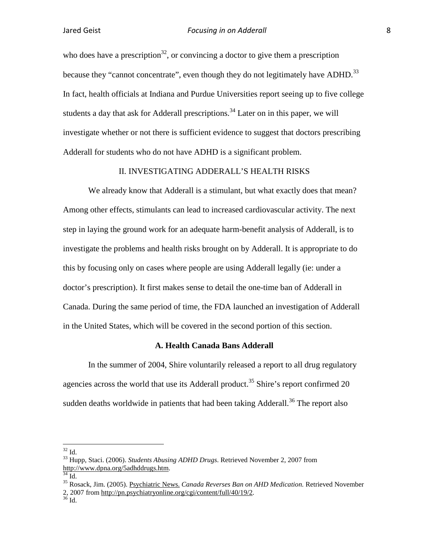who does have a prescription<sup>32</sup>, or convincing a doctor to give them a prescription because they "cannot concentrate", even though they do not legitimately have ADHD.<sup>33</sup> In fact, health officials at Indiana and Purdue Universities report seeing up to five college students a day that ask for Adderall prescriptions.<sup>34</sup> Later on in this paper, we will investigate whether or not there is sufficient evidence to suggest that doctors prescribing Adderall for students who do not have ADHD is a significant problem.

#### II. INVESTIGATING ADDERALL'S HEALTH RISKS

We already know that Adderall is a stimulant, but what exactly does that mean? Among other effects, stimulants can lead to increased cardiovascular activity. The next step in laying the ground work for an adequate harm-benefit analysis of Adderall, is to investigate the problems and health risks brought on by Adderall. It is appropriate to do this by focusing only on cases where people are using Adderall legally (ie: under a doctor's prescription). It first makes sense to detail the one-time ban of Adderall in Canada. During the same period of time, the FDA launched an investigation of Adderall in the United States, which will be covered in the second portion of this section.

#### **A. Health Canada Bans Adderall**

In the summer of 2004, Shire voluntarily released a report to all drug regulatory agencies across the world that use its Adderall product.<sup>35</sup> Shire's report confirmed 20 sudden deaths worldwide in patients that had been taking Adderall.<sup>36</sup> The report also

<sup>&</sup>lt;sup>32</sup> Id. <sup>33</sup> Hupp, Staci. (2006). *Students Abusing ADHD Drugs*. Retrieved November 2, 2007 from http://www.dpna.org/5adhddrugs.htm.

<sup>&</sup>lt;sup>35</sup> Rosack, Jim. (2005). Psychiatric News. *Canada Reverses Ban on AHD Medication*. Retrieved November 2, 2007 from http://pn.psychiatryonline.org/cgi/content/full/40/19/2.<br><sup>36</sup> Id.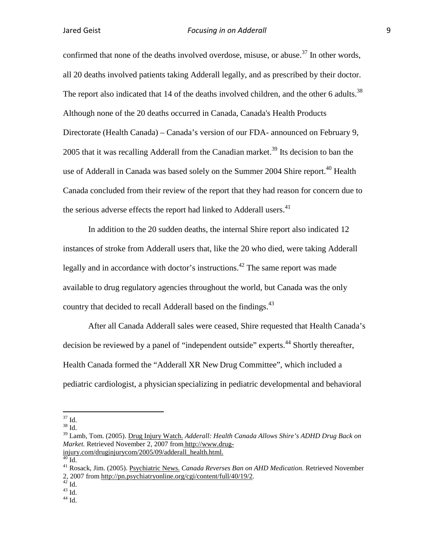confirmed that none of the deaths involved overdose, misuse, or abuse.<sup>37</sup> In other words, all 20 deaths involved patients taking Adderall legally, and as prescribed by their doctor. The report also indicated that 14 of the deaths involved children, and the other 6 adults.<sup>38</sup> Although none of the 20 deaths occurred in Canada, Canada's Health Products Directorate (Health Canada) – Canada's version of our FDA- announced on February 9, 2005 that it was recalling Adderall from the Canadian market.<sup>39</sup> Its decision to ban the use of Adderall in Canada was based solely on the Summer 2004 Shire report.<sup>40</sup> Health Canada concluded from their review of the report that they had reason for concern due to the serious adverse effects the report had linked to Adderall users.<sup>41</sup>

In addition to the 20 sudden deaths, the internal Shire report also indicated 12 instances of stroke from Adderall users that, like the 20 who died, were taking Adderall legally and in accordance with doctor's instructions.<sup>42</sup> The same report was made available to drug regulatory agencies throughout the world, but Canada was the only country that decided to recall Adderall based on the findings.<sup>43</sup>

After all Canada Adderall sales were ceased, Shire requested that Health Canada's decision be reviewed by a panel of "independent outside" experts.<sup>44</sup> Shortly thereafter, Health Canada formed the "Adderall XR New Drug Committee", which included a pediatric cardiologist, a physician specializing in pediatric developmental and behavioral

 $\frac{37}{38}$  Id.

<sup>39</sup> Lamb, Tom. (2005). Drug Injury Watch. *Adderall: Health Canada Allows Shire's ADHD Drug Back on Market.* Retrieved November 2, 2007 from http://www.drug-<br>injury.com/druginjurycom/2005/09/adderall\_health.html.

<sup>&</sup>lt;sup>40</sup> Id.<br><sup>41</sup> Rosack, Jim. (2005). Psychiatric News. *Canada Reverses Ban on AHD Medication*. Retrieved November 2, 2007 from http://pn.psychiatryonline.org/cgi/content/full/40/19/2.<br>
<sup>42</sup> Id.  $^{43}$  Id.  $^{44}$  Id.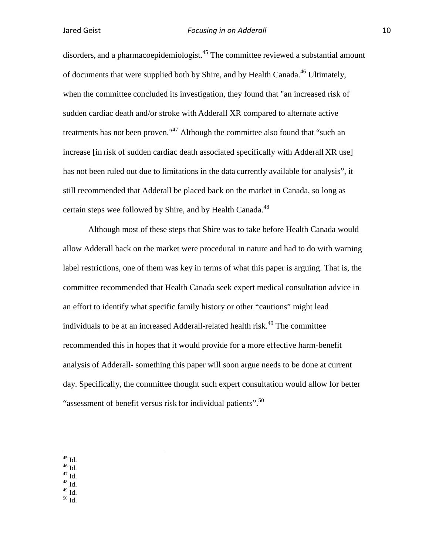disorders, and a pharmacoepidemiologist.<sup>45</sup> The committee reviewed a substantial amount of documents that were supplied both by Shire, and by Health Canada.<sup>46</sup> Ultimately, when the committee concluded its investigation, they found that "an increased risk of sudden cardiac death and/or stroke with Adderall XR compared to alternate active treatments has not been proven."<sup>47</sup> Although the committee also found that "such an increase [in risk of sudden cardiac death associated specifically with Adderall XR use] has not been ruled out due to limitations in the data currently available for analysis", it still recommended that Adderall be placed back on the market in Canada, so long as certain steps wee followed by Shire, and by Health Canada.<sup>48</sup>

Although most of these steps that Shire was to take before Health Canada would allow Adderall back on the market were procedural in nature and had to do with warning label restrictions, one of them was key in terms of what this paper is arguing. That is, the committee recommended that Health Canada seek expert medical consultation advice in an effort to identify what specific family history or other "cautions" might lead individuals to be at an increased Adderall-related health risk.<sup>49</sup> The committee recommended this in hopes that it would provide for a more effective harm-benefit analysis of Adderall- something this paper will soon argue needs to be done at current day. Specifically, the committee thought such expert consultation would allow for better "assessment of benefit versus risk for individual patients".<sup>50</sup>

- 
- 
- $^{45}$  Id.<br> $^{46}$  Id.<br> $^{47}$  Id.<br> $^{48}$  Id.<br> $^{49}$  Id.
- $50$  Id.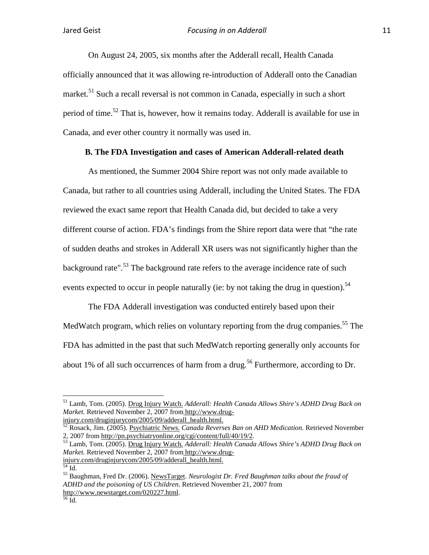On August 24, 2005, six months after the Adderall recall, Health Canada officially announced that it was allowing re-introduction of Adderall onto the Canadian market.<sup>51</sup> Such a recall reversal is not common in Canada, especially in such a short period of time.<sup>52</sup> That is, however, how it remains today. Adderall is available for use in Canada, and ever other country it normally was used in.

#### **B. The FDA Investigation and cases of American Adderall-related death**

As mentioned, the Summer 2004 Shire report was not only made available to Canada, but rather to all countries using Adderall, including the United States. The FDA reviewed the exact same report that Health Canada did, but decided to take a very different course of action. FDA's findings from the Shire report data were that "the rate of sudden deaths and strokes in Adderall XR users was not significantly higher than the background rate".<sup>53</sup> The background rate refers to the average incidence rate of such events expected to occur in people naturally (ie: by not taking the drug in question).<sup>54</sup>

The FDA Adderall investigation was conducted entirely based upon their MedWatch program, which relies on voluntary reporting from the drug companies.<sup>55</sup> The FDA has admitted in the past that such MedWatch reporting generally only accounts for about 1% of all such occurrences of harm from a drug.<sup>56</sup> Furthermore, according to Dr.

 <sup>51</sup> Lamb, Tom. (2005). Drug Injury Watch. *Adderall: Health Canada Allows Shire's ADHD Drug Back on Market.* Retrieved November 2, 2007 from http://www.drug-<br>injury.com/druginjurycom/2005/09/adderall\_health.html.

<sup>&</sup>lt;sup>52</sup> Rosack, Jim. (2005). <u>Psychiatric News. *Canada Reverses Ban on AHD Medication*. Retrieved November 2, 2007 from http://pn.psychiatryonline.org/cgi/content/full/40/19/2.</u>

<sup>&</sup>lt;sup>53</sup> Lamb, Tom. (2005). Drug Inju<u>ry Watch.</u> *Adderall: Health Canada Allows Shire's ADHD Drug Back on Market.* Retrieved November 2, 2007 from http://www.drug-<br>injury.com/druginjurycom/2005/09/adderall health.html.

<sup>&</sup>lt;sup>54</sup> Id.<br><sup>55</sup> Baughman, Fred Dr. (2006). <u>NewsTarget</u>. *Neurologist Dr. Fred Baughman talks about the fraud of ADHD and the poisoning of US Children*. Retrieved November 21, 2007 from http://www.newstarget.com/020227.html.<br>
<sup>56</sup> Id.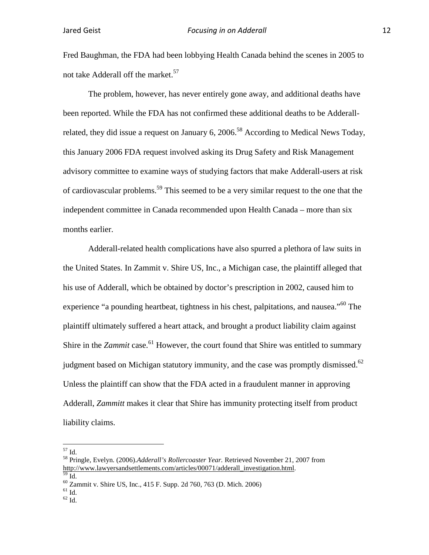Fred Baughman, the FDA had been lobbying Health Canada behind the scenes in 2005 to not take Adderall off the market.<sup>57</sup>

The problem, however, has never entirely gone away, and additional deaths have been reported. While the FDA has not confirmed these additional deaths to be Adderallrelated, they did issue a request on January 6, 2006.<sup>58</sup> According to Medical News Today, this January 2006 FDA request involved asking its Drug Safety and Risk Management advisory committee to examine ways of studying factors that make Adderall-users at risk of cardiovascular problems.<sup>59</sup> This seemed to be a very similar request to the one that the independent committee in Canada recommended upon Health Canada – more than six months earlier.

Adderall-related health complications have also spurred a plethora of law suits in the United States. In Zammit v. Shire US, Inc., a Michigan case, the plaintiff alleged that his use of Adderall, which be obtained by doctor's prescription in 2002, caused him to experience "a pounding heartbeat, tightness in his chest, palpitations, and nausea."<sup>60</sup> The plaintiff ultimately suffered a heart attack, and brought a product liability claim against Shire in the *Zammit* case.<sup>61</sup> However, the court found that Shire was entitled to summary judgment based on Michigan statutory immunity, and the case was promptly dismissed.<sup>62</sup> Unless the plaintiff can show that the FDA acted in a fraudulent manner in approving Adderall, *Zammitt* makes it clear that Shire has immunity protecting itself from product liability claims.

<sup>57</sup> Id. <sup>58</sup> Pringle, Evelyn. (2006).*Adderall's Rollercoaster Year.* Retrieved November 21, 2007 from http://www.lawyersandsettlements.com/articles/00071/adderall\_investigation.html. <sup>60</sup> Id. 60 Zammit v. Shire US, Inc., 415 F. Supp. 2d 760, 763 (D. Mich. 2006) <sup>61</sup> Id. <sup>62</sup> Id.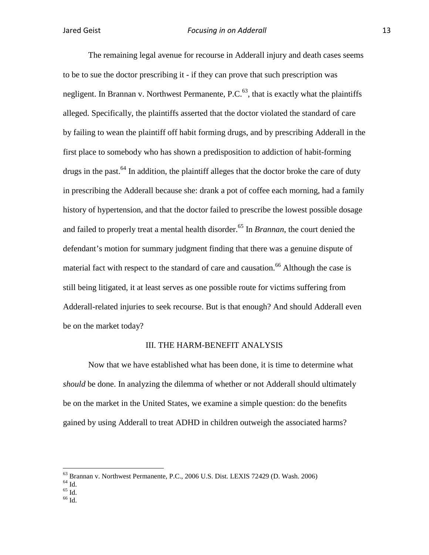The remaining legal avenue for recourse in Adderall injury and death cases seems to be to sue the doctor prescribing it - if they can prove that such prescription was negligent. In Brannan v. Northwest Permanente,  $P.C.<sup>63</sup>$ , that is exactly what the plaintiffs alleged. Specifically, the plaintiffs asserted that the doctor violated the standard of care by failing to wean the plaintiff off habit forming drugs, and by prescribing Adderall in the first place to somebody who has shown a predisposition to addiction of habit-forming drugs in the past.<sup>64</sup> In addition, the plaintiff alleges that the doctor broke the care of duty in prescribing the Adderall because she: drank a pot of coffee each morning, had a family history of hypertension, and that the doctor failed to prescribe the lowest possible dosage and failed to properly treat a mental health disorder.<sup>65</sup> In *Brannan*, the court denied the defendant's motion for summary judgment finding that there was a genuine dispute of material fact with respect to the standard of care and causation.<sup>66</sup> Although the case is still being litigated, it at least serves as one possible route for victims suffering from Adderall-related injuries to seek recourse. But is that enough? And should Adderall even be on the market today?

#### III. THE HARM-BENEFIT ANALYSIS

Now that we have established what has been done, it is time to determine what *should* be done. In analyzing the dilemma of whether or not Adderall should ultimately be on the market in the United States, we examine a simple question: do the benefits gained by using Adderall to treat ADHD in children outweigh the associated harms?

- 
- 

<sup>&</sup>lt;sup>63</sup> Brannan v. Northwest Permanente, P.C., 2006 U.S. Dist. LEXIS 72429 (D. Wash. 2006)<br><sup>64</sup> Id. <sup>65</sup> Id. <sup>66</sup> Id.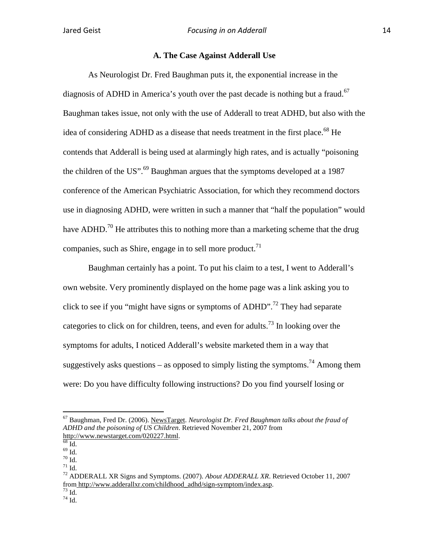### **A. The Case Against Adderall Use**

As Neurologist Dr. Fred Baughman puts it, the exponential increase in the diagnosis of ADHD in America's youth over the past decade is nothing but a fraud.<sup>67</sup> Baughman takes issue, not only with the use of Adderall to treat ADHD, but also with the idea of considering ADHD as a disease that needs treatment in the first place.<sup>68</sup> He contends that Adderall is being used at alarmingly high rates, and is actually "poisoning the children of the US".<sup>69</sup> Baughman argues that the symptoms developed at a 1987 conference of the American Psychiatric Association, for which they recommend doctors use in diagnosing ADHD, were written in such a manner that "half the population" would have ADHD.<sup>70</sup> He attributes this to nothing more than a marketing scheme that the drug companies, such as Shire, engage in to sell more product.<sup>71</sup>

Baughman certainly has a point. To put his claim to a test, I went to Adderall's own website. Very prominently displayed on the home page was a link asking you to click to see if you "might have signs or symptoms of ADHD".<sup>72</sup> They had separate categories to click on for children, teens, and even for adults.<sup>73</sup> In looking over the symptoms for adults, I noticed Adderall's website marketed them in a way that suggestively asks questions – as opposed to simply listing the symptoms.<sup>74</sup> Among them were: Do you have difficulty following instructions? Do you find yourself losing or

 <sup>67</sup> Baughman, Fred Dr. (2006). NewsTarget. *Neurologist Dr. Fred Baughman talks about the fraud of ADHD and the poisoning of US Children*. Retrieved November 21, 2007 from http://www.newstarget.com/020227.html.

 $\frac{68}{68}$  Id.<br> $\frac{69}{10}$  Id. 70 Id. 70 Id. 71 Id. 71 Id. 71 Id. 72 ADDERALL XR Signs and Symptoms. (2007). *About ADDERALL XR*. Retrieved October 11, 2007 from http://www.adderallxr.com/childhood\_adhd/sign-symptom/index.asp.<br>
<sup>73</sup> Id.<br>
<sup>74</sup> Id.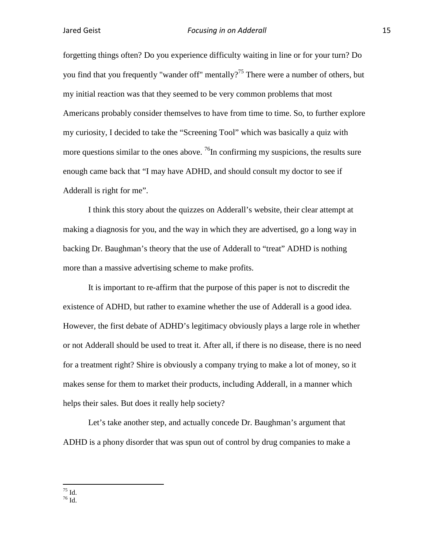forgetting things often? Do you experience difficulty waiting in line or for your turn? Do you find that you frequently "wander off" mentally?<sup>75</sup> There were a number of others, but my initial reaction was that they seemed to be very common problems that most Americans probably consider themselves to have from time to time. So, to further explore my curiosity, I decided to take the "Screening Tool" which was basically a quiz with more questions similar to the ones above.  $^{76}$ In confirming my suspicions, the results sure enough came back that "I may have ADHD, and should consult my doctor to see if Adderall is right for me".

I think this story about the quizzes on Adderall's website, their clear attempt at making a diagnosis for you, and the way in which they are advertised, go a long way in backing Dr. Baughman's theory that the use of Adderall to "treat" ADHD is nothing more than a massive advertising scheme to make profits.

It is important to re-affirm that the purpose of this paper is not to discredit the existence of ADHD, but rather to examine whether the use of Adderall is a good idea. However, the first debate of ADHD's legitimacy obviously plays a large role in whether or not Adderall should be used to treat it. After all, if there is no disease, there is no need for a treatment right? Shire is obviously a company trying to make a lot of money, so it makes sense for them to market their products, including Adderall, in a manner which helps their sales. But does it really help society?

Let's take another step, and actually concede Dr. Baughman's argument that ADHD is a phony disorder that was spun out of control by drug companies to make a

 $\frac{75}{76}$  Id.<br> <br>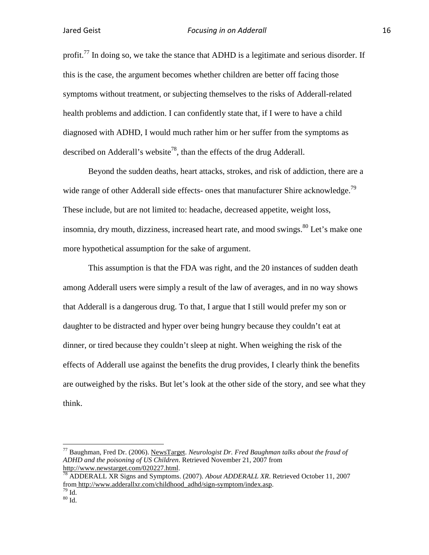profit.<sup>77</sup> In doing so, we take the stance that ADHD is a legitimate and serious disorder. If this is the case, the argument becomes whether children are better off facing those symptoms without treatment, or subjecting themselves to the risks of Adderall-related health problems and addiction. I can confidently state that, if I were to have a child diagnosed with ADHD, I would much rather him or her suffer from the symptoms as described on Adderall's website<sup>78</sup>, than the effects of the drug Adderall.

Beyond the sudden deaths, heart attacks, strokes, and risk of addiction, there are a wide range of other Adderall side effects- ones that manufacturer Shire acknowledge.<sup>79</sup> These include, but are not limited to: headache, decreased appetite, weight loss, insomnia, dry mouth, dizziness, increased heart rate, and mood swings.  $80$  Let's make one more hypothetical assumption for the sake of argument.

This assumption is that the FDA was right, and the 20 instances of sudden death among Adderall users were simply a result of the law of averages, and in no way shows that Adderall is a dangerous drug. To that, I argue that I still would prefer my son or daughter to be distracted and hyper over being hungry because they couldn't eat at dinner, or tired because they couldn't sleep at night. When weighing the risk of the effects of Adderall use against the benefits the drug provides, I clearly think the benefits are outweighed by the risks. But let's look at the other side of the story, and see what they think.

 <sup>77</sup> Baughman, Fred Dr. (2006). NewsTarget. *Neurologist Dr. Fred Baughman talks about the fraud of ADHD and the poisoning of US Children*. Retrieved November 21, 2007 from http://www.newstarget.com/020227.html.<br><sup>78</sup> ADDERALL XR Signs and Symptoms. (2007). *About ADDERALL XR*. Retrieved October 11, 2007

from http://www.adderallxr.com/childhood\_adhd/sign-symptom/index.asp.<br><sup>79</sup> Id. 80 Id.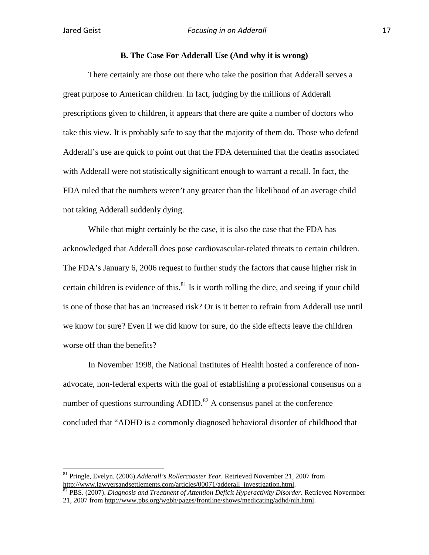#### **B. The Case For Adderall Use (And why it is wrong)**

There certainly are those out there who take the position that Adderall serves a great purpose to American children. In fact, judging by the millions of Adderall prescriptions given to children, it appears that there are quite a number of doctors who take this view. It is probably safe to say that the majority of them do. Those who defend Adderall's use are quick to point out that the FDA determined that the deaths associated with Adderall were not statistically significant enough to warrant a recall. In fact, the FDA ruled that the numbers weren't any greater than the likelihood of an average child not taking Adderall suddenly dying.

While that might certainly be the case, it is also the case that the FDA has acknowledged that Adderall does pose cardiovascular-related threats to certain children. The FDA's January 6, 2006 request to further study the factors that cause higher risk in certain children is evidence of this. $81$  Is it worth rolling the dice, and seeing if your child is one of those that has an increased risk? Or is it better to refrain from Adderall use until we know for sure? Even if we did know for sure, do the side effects leave the children worse off than the benefits?

In November 1998, the National Institutes of Health hosted a conference of nonadvocate, non-federal experts with the goal of establishing a professional consensus on a number of questions surrounding  $ADHD<sup>82</sup>$  A consensus panel at the conference concluded that "ADHD is a commonly diagnosed behavioral disorder of childhood that

 <sup>81</sup> Pringle, Evelyn. (2006).*Adderall's Rollercoaster Year.* Retrieved November 21, 2007 from http://www.lawyersandsettlements.com/articles/00071/adderall\_investigation.html. <sup>82</sup> PBS. (2007). *Diagnosis and Treatment of Attention Deficit Hyperactivity Disorder.* Retrieved Novermber

<sup>21, 2007</sup> from http://www.pbs.org/wgbh/pages/frontline/shows/medicating/adhd/nih.html.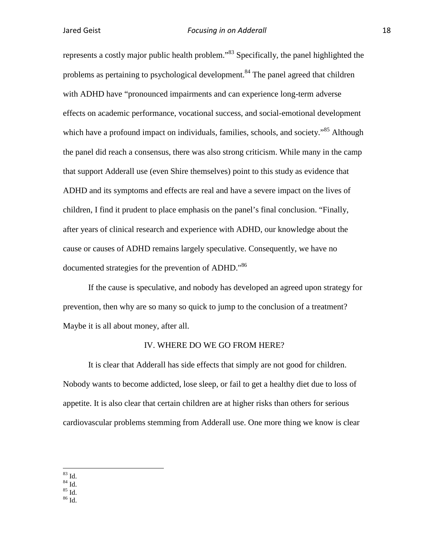represents a costly major public health problem."<sup>83</sup> Specifically, the panel highlighted the problems as pertaining to psychological development.<sup>84</sup> The panel agreed that children with ADHD have "pronounced impairments and can experience long-term adverse effects on academic performance, vocational success, and social-emotional development which have a profound impact on individuals, families, schools, and society."<sup>85</sup> Although the panel did reach a consensus, there was also strong criticism. While many in the camp that support Adderall use (even Shire themselves) point to this study as evidence that ADHD and its symptoms and effects are real and have a severe impact on the lives of children, I find it prudent to place emphasis on the panel's final conclusion. "Finally, after years of clinical research and experience with ADHD, our knowledge about the cause or causes of ADHD remains largely speculative. Consequently, we have no documented strategies for the prevention of ADHD."<sup>86</sup>

If the cause is speculative, and nobody has developed an agreed upon strategy for prevention, then why are so many so quick to jump to the conclusion of a treatment? Maybe it is all about money, after all.

#### IV. WHERE DO WE GO FROM HERE?

It is clear that Adderall has side effects that simply are not good for children. Nobody wants to become addicted, lose sleep, or fail to get a healthy diet due to loss of appetite. It is also clear that certain children are at higher risks than others for serious cardiovascular problems stemming from Adderall use. One more thing we know is clear

- 
- $\frac{83}{84}$  Id.<br> $\frac{84}{85}$  Id.<br> $\frac{85}{86}$  Id.
-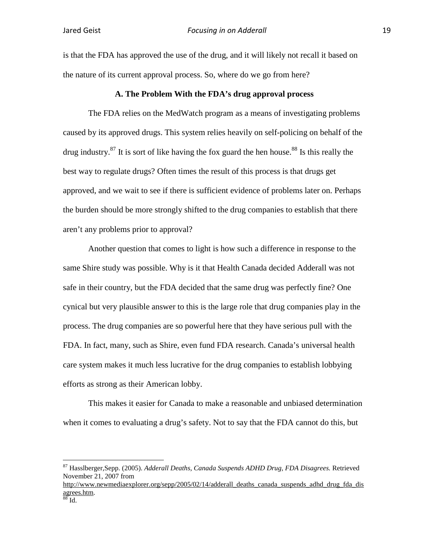is that the FDA has approved the use of the drug, and it will likely not recall it based on the nature of its current approval process. So, where do we go from here?

#### **A. The Problem With the FDA's drug approval process**

The FDA relies on the MedWatch program as a means of investigating problems caused by its approved drugs. This system relies heavily on self-policing on behalf of the drug industry.<sup>87</sup> It is sort of like having the fox guard the hen house.<sup>88</sup> Is this really the best way to regulate drugs? Often times the result of this process is that drugs get approved, and we wait to see if there is sufficient evidence of problems later on. Perhaps the burden should be more strongly shifted to the drug companies to establish that there aren't any problems prior to approval?

Another question that comes to light is how such a difference in response to the same Shire study was possible. Why is it that Health Canada decided Adderall was not safe in their country, but the FDA decided that the same drug was perfectly fine? One cynical but very plausible answer to this is the large role that drug companies play in the process. The drug companies are so powerful here that they have serious pull with the FDA. In fact, many, such as Shire, even fund FDA research. Canada's universal health care system makes it much less lucrative for the drug companies to establish lobbying efforts as strong as their American lobby.

This makes it easier for Canada to make a reasonable and unbiased determination when it comes to evaluating a drug's safety. Not to say that the FDA cannot do this, but

 <sup>87</sup> Hasslberger,Sepp. (2005). *Adderall Deaths, Canada Suspends ADHD Drug, FDA Disagrees.* Retrieved November 21, 2007 from

http://www.newmediaexplorer.org/sepp/2005/02/14/adderall\_deaths\_canada\_suspends\_adhd\_drug\_fda\_dis agrees.htm.<br><sup>88</sup> Id.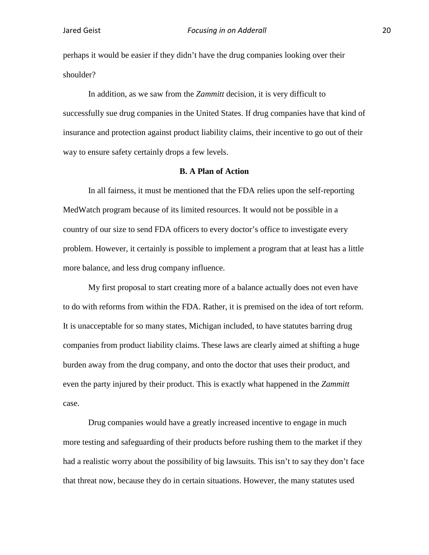perhaps it would be easier if they didn't have the drug companies looking over their shoulder?

In addition, as we saw from the *Zammitt* decision, it is very difficult to successfully sue drug companies in the United States. If drug companies have that kind of insurance and protection against product liability claims, their incentive to go out of their way to ensure safety certainly drops a few levels.

#### **B. A Plan of Action**

In all fairness, it must be mentioned that the FDA relies upon the self-reporting MedWatch program because of its limited resources. It would not be possible in a country of our size to send FDA officers to every doctor's office to investigate every problem. However, it certainly is possible to implement a program that at least has a little more balance, and less drug company influence.

My first proposal to start creating more of a balance actually does not even have to do with reforms from within the FDA. Rather, it is premised on the idea of tort reform. It is unacceptable for so many states, Michigan included, to have statutes barring drug companies from product liability claims. These laws are clearly aimed at shifting a huge burden away from the drug company, and onto the doctor that uses their product, and even the party injured by their product. This is exactly what happened in the *Zammitt* case.

Drug companies would have a greatly increased incentive to engage in much more testing and safeguarding of their products before rushing them to the market if they had a realistic worry about the possibility of big lawsuits. This isn't to say they don't face that threat now, because they do in certain situations. However, the many statutes used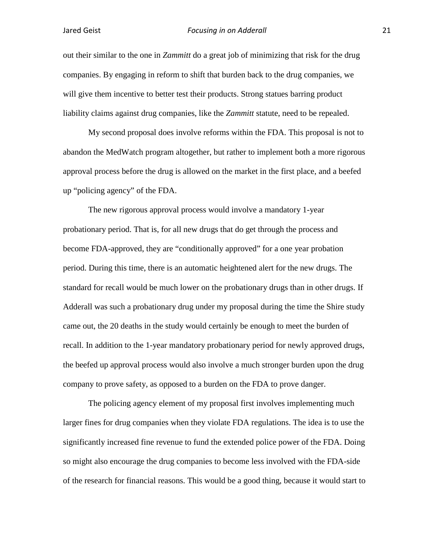out their similar to the one in *Zammitt* do a great job of minimizing that risk for the drug companies. By engaging in reform to shift that burden back to the drug companies, we will give them incentive to better test their products. Strong statues barring product liability claims against drug companies, like the *Zammitt* statute, need to be repealed.

My second proposal does involve reforms within the FDA. This proposal is not to abandon the MedWatch program altogether, but rather to implement both a more rigorous approval process before the drug is allowed on the market in the first place, and a beefed up "policing agency" of the FDA.

The new rigorous approval process would involve a mandatory 1-year probationary period. That is, for all new drugs that do get through the process and become FDA-approved, they are "conditionally approved" for a one year probation period. During this time, there is an automatic heightened alert for the new drugs. The standard for recall would be much lower on the probationary drugs than in other drugs. If Adderall was such a probationary drug under my proposal during the time the Shire study came out, the 20 deaths in the study would certainly be enough to meet the burden of recall. In addition to the 1-year mandatory probationary period for newly approved drugs, the beefed up approval process would also involve a much stronger burden upon the drug company to prove safety, as opposed to a burden on the FDA to prove danger.

The policing agency element of my proposal first involves implementing much larger fines for drug companies when they violate FDA regulations. The idea is to use the significantly increased fine revenue to fund the extended police power of the FDA. Doing so might also encourage the drug companies to become less involved with the FDA-side of the research for financial reasons. This would be a good thing, because it would start to